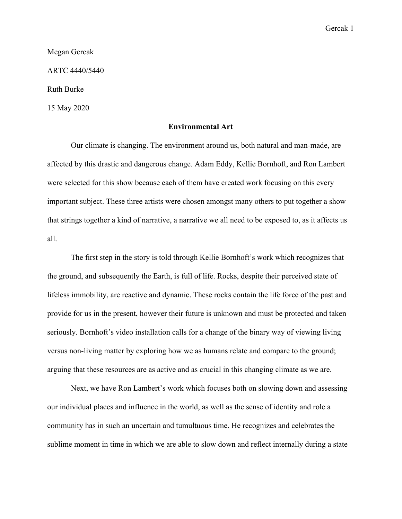Gercak 1

Megan Gercak

ARTC 4440/5440

Ruth Burke

15 May 2020

## **Environmental Art**

Our climate is changing. The environment around us, both natural and man-made, are affected by this drastic and dangerous change. Adam Eddy, Kellie Bornhoft, and Ron Lambert were selected for this show because each of them have created work focusing on this every important subject. These three artists were chosen amongst many others to put together a show that strings together a kind of narrative, a narrative we all need to be exposed to, as it affects us all.

The first step in the story is told through Kellie Bornhoft's work which recognizes that the ground, and subsequently the Earth, is full of life. Rocks, despite their perceived state of lifeless immobility, are reactive and dynamic. These rocks contain the life force of the past and provide for us in the present, however their future is unknown and must be protected and taken seriously. Bornhoft's video installation calls for a change of the binary way of viewing living versus non-living matter by exploring how we as humans relate and compare to the ground; arguing that these resources are as active and as crucial in this changing climate as we are.

Next, we have Ron Lambert's work which focuses both on slowing down and assessing our individual places and influence in the world, as well as the sense of identity and role a community has in such an uncertain and tumultuous time. He recognizes and celebrates the sublime moment in time in which we are able to slow down and reflect internally during a state